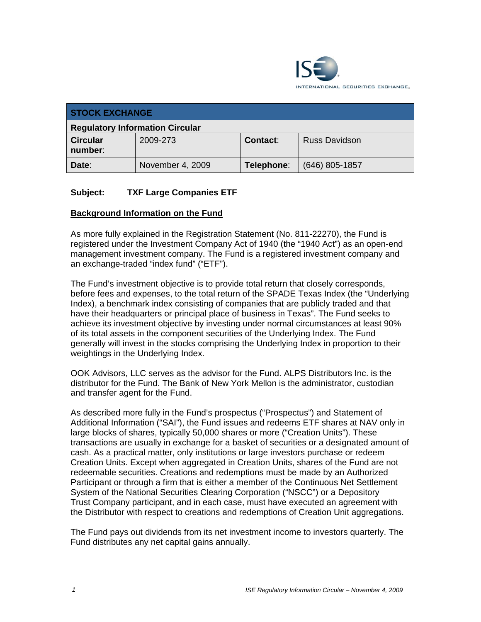

| <b>STOCK EXCHANGE</b>                  |                  |            |                      |  |
|----------------------------------------|------------------|------------|----------------------|--|
| <b>Regulatory Information Circular</b> |                  |            |                      |  |
| <b>Circular</b><br>number:             | 2009-273         | Contact:   | <b>Russ Davidson</b> |  |
| Date:                                  | November 4, 2009 | Telephone: | $(646)$ 805-1857     |  |

## **Subject: TXF Large Companies ETF**

#### **Background Information on the Fund**

As more fully explained in the Registration Statement (No. 811-22270), the Fund is registered under the Investment Company Act of 1940 (the "1940 Act") as an open-end management investment company. The Fund is a registered investment company and an exchange-traded "index fund" ("ETF").

The Fund's investment objective is to provide total return that closely corresponds, before fees and expenses, to the total return of the SPADE Texas Index (the "Underlying Index), a benchmark index consisting of companies that are publicly traded and that have their headquarters or principal place of business in Texas". The Fund seeks to achieve its investment objective by investing under normal circumstances at least 90% of its total assets in the component securities of the Underlying Index. The Fund generally will invest in the stocks comprising the Underlying Index in proportion to their weightings in the Underlying Index.

OOK Advisors, LLC serves as the advisor for the Fund. ALPS Distributors Inc. is the distributor for the Fund. The Bank of New York Mellon is the administrator, custodian and transfer agent for the Fund.

As described more fully in the Fund's prospectus ("Prospectus") and Statement of Additional Information ("SAI"), the Fund issues and redeems ETF shares at NAV only in large blocks of shares, typically 50,000 shares or more ("Creation Units"). These transactions are usually in exchange for a basket of securities or a designated amount of cash. As a practical matter, only institutions or large investors purchase or redeem Creation Units. Except when aggregated in Creation Units, shares of the Fund are not redeemable securities. Creations and redemptions must be made by an Authorized Participant or through a firm that is either a member of the Continuous Net Settlement System of the National Securities Clearing Corporation ("NSCC") or a Depository Trust Company participant, and in each case, must have executed an agreement with the Distributor with respect to creations and redemptions of Creation Unit aggregations.

The Fund pays out dividends from its net investment income to investors quarterly. The Fund distributes any net capital gains annually.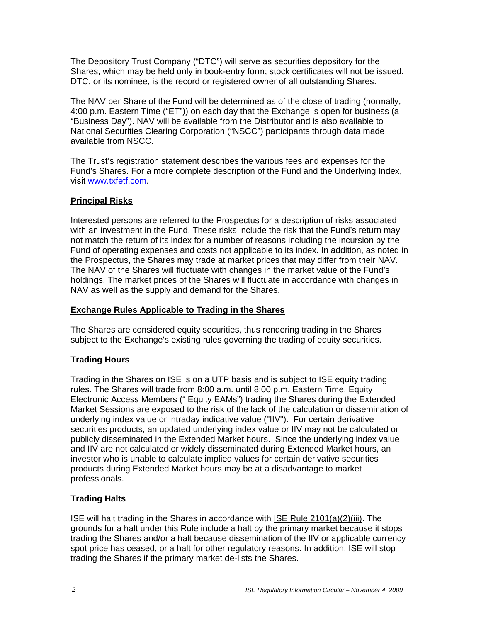The Depository Trust Company ("DTC") will serve as securities depository for the Shares, which may be held only in book-entry form; stock certificates will not be issued. DTC, or its nominee, is the record or registered owner of all outstanding Shares.

The NAV per Share of the Fund will be determined as of the close of trading (normally, 4:00 p.m. Eastern Time ("ET")) on each day that the Exchange is open for business (a "Business Day"). NAV will be available from the Distributor and is also available to National Securities Clearing Corporation ("NSCC") participants through data made available from NSCC.

The Trust's registration statement describes the various fees and expenses for the Fund's Shares. For a more complete description of the Fund and the Underlying Index, visit www.txfetf.com.

#### **Principal Risks**

Interested persons are referred to the Prospectus for a description of risks associated with an investment in the Fund. These risks include the risk that the Fund's return may not match the return of its index for a number of reasons including the incursion by the Fund of operating expenses and costs not applicable to its index. In addition, as noted in the Prospectus, the Shares may trade at market prices that may differ from their NAV. The NAV of the Shares will fluctuate with changes in the market value of the Fund's holdings. The market prices of the Shares will fluctuate in accordance with changes in NAV as well as the supply and demand for the Shares.

#### **Exchange Rules Applicable to Trading in the Shares**

The Shares are considered equity securities, thus rendering trading in the Shares subject to the Exchange's existing rules governing the trading of equity securities.

# **Trading Hours**

Trading in the Shares on ISE is on a UTP basis and is subject to ISE equity trading rules. The Shares will trade from 8:00 a.m. until 8:00 p.m. Eastern Time. Equity Electronic Access Members (" Equity EAMs") trading the Shares during the Extended Market Sessions are exposed to the risk of the lack of the calculation or dissemination of underlying index value or intraday indicative value ("IIV"). For certain derivative securities products, an updated underlying index value or IIV may not be calculated or publicly disseminated in the Extended Market hours. Since the underlying index value and IIV are not calculated or widely disseminated during Extended Market hours, an investor who is unable to calculate implied values for certain derivative securities products during Extended Market hours may be at a disadvantage to market professionals.

# **Trading Halts**

ISE will halt trading in the Shares in accordance with ISE Rule 2101(a)(2)(iii). The grounds for a halt under this Rule include a halt by the primary market because it stops trading the Shares and/or a halt because dissemination of the IIV or applicable currency spot price has ceased, or a halt for other regulatory reasons. In addition, ISE will stop trading the Shares if the primary market de-lists the Shares.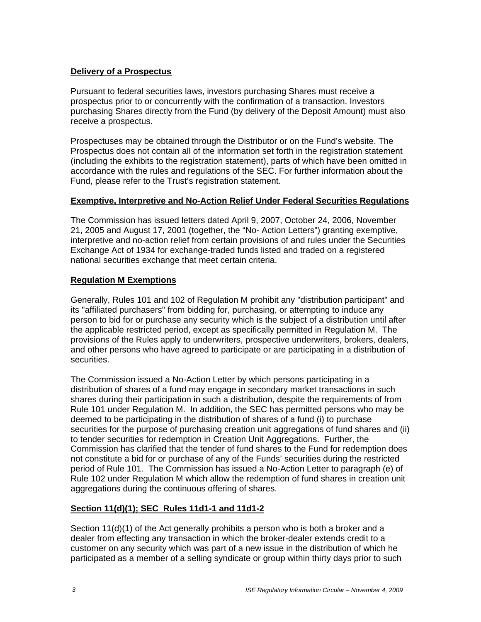#### **Delivery of a Prospectus**

Pursuant to federal securities laws, investors purchasing Shares must receive a prospectus prior to or concurrently with the confirmation of a transaction. Investors purchasing Shares directly from the Fund (by delivery of the Deposit Amount) must also receive a prospectus.

Prospectuses may be obtained through the Distributor or on the Fund's website. The Prospectus does not contain all of the information set forth in the registration statement (including the exhibits to the registration statement), parts of which have been omitted in accordance with the rules and regulations of the SEC. For further information about the Fund, please refer to the Trust's registration statement.

## **Exemptive, Interpretive and No-Action Relief Under Federal Securities Regulations**

The Commission has issued letters dated April 9, 2007, October 24, 2006, November 21, 2005 and August 17, 2001 (together, the "No- Action Letters") granting exemptive, interpretive and no-action relief from certain provisions of and rules under the Securities Exchange Act of 1934 for exchange-traded funds listed and traded on a registered national securities exchange that meet certain criteria.

# **Regulation M Exemptions**

Generally, Rules 101 and 102 of Regulation M prohibit any "distribution participant" and its "affiliated purchasers" from bidding for, purchasing, or attempting to induce any person to bid for or purchase any security which is the subject of a distribution until after the applicable restricted period, except as specifically permitted in Regulation M. The provisions of the Rules apply to underwriters, prospective underwriters, brokers, dealers, and other persons who have agreed to participate or are participating in a distribution of securities.

The Commission issued a No-Action Letter by which persons participating in a distribution of shares of a fund may engage in secondary market transactions in such shares during their participation in such a distribution, despite the requirements of from Rule 101 under Regulation M. In addition, the SEC has permitted persons who may be deemed to be participating in the distribution of shares of a fund (i) to purchase securities for the purpose of purchasing creation unit aggregations of fund shares and (ii) to tender securities for redemption in Creation Unit Aggregations. Further, the Commission has clarified that the tender of fund shares to the Fund for redemption does not constitute a bid for or purchase of any of the Funds' securities during the restricted period of Rule 101. The Commission has issued a No-Action Letter to paragraph (e) of Rule 102 under Regulation M which allow the redemption of fund shares in creation unit aggregations during the continuous offering of shares.

# **Section 11(d)(1); SEC Rules 11d1-1 and 11d1-2**

Section 11(d)(1) of the Act generally prohibits a person who is both a broker and a dealer from effecting any transaction in which the broker-dealer extends credit to a customer on any security which was part of a new issue in the distribution of which he participated as a member of a selling syndicate or group within thirty days prior to such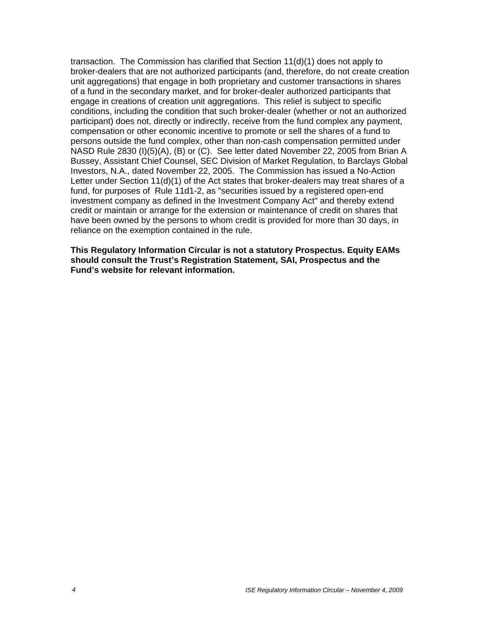transaction. The Commission has clarified that Section 11(d)(1) does not apply to broker-dealers that are not authorized participants (and, therefore, do not create creation unit aggregations) that engage in both proprietary and customer transactions in shares of a fund in the secondary market, and for broker-dealer authorized participants that engage in creations of creation unit aggregations. This relief is subject to specific conditions, including the condition that such broker-dealer (whether or not an authorized participant) does not, directly or indirectly, receive from the fund complex any payment, compensation or other economic incentive to promote or sell the shares of a fund to persons outside the fund complex, other than non-cash compensation permitted under NASD Rule 2830 (I)(5)(A), (B) or (C). See letter dated November 22, 2005 from Brian A Bussey, Assistant Chief Counsel, SEC Division of Market Regulation, to Barclays Global Investors, N.A., dated November 22, 2005. The Commission has issued a No-Action Letter under Section 11(d)(1) of the Act states that broker-dealers may treat shares of a fund, for purposes of Rule 11d1-2, as "securities issued by a registered open-end investment company as defined in the Investment Company Act" and thereby extend credit or maintain or arrange for the extension or maintenance of credit on shares that have been owned by the persons to whom credit is provided for more than 30 days, in reliance on the exemption contained in the rule.

**This Regulatory Information Circular is not a statutory Prospectus. Equity EAMs should consult the Trust's Registration Statement, SAI, Prospectus and the Fund's website for relevant information.**